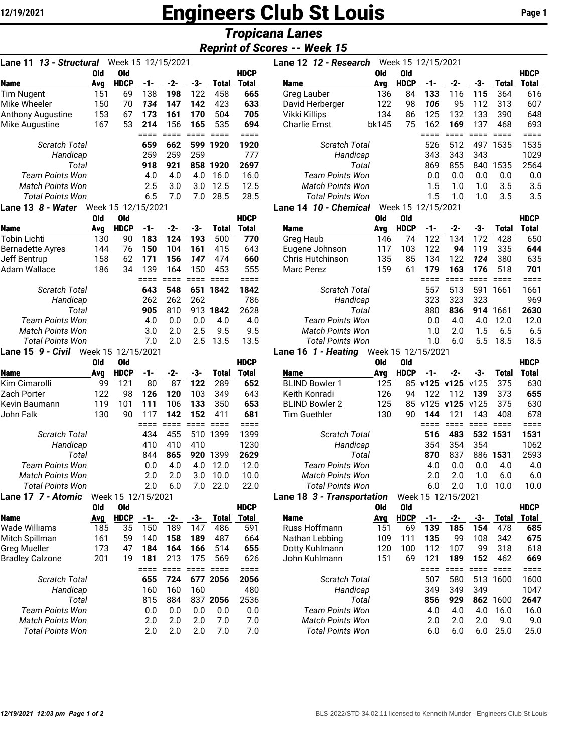# 12/19/2021 **Engineers Club St Louis** Page 1

## *Tropicana Lanes*

### *Reprint of Scores -- Week 15*

| Lane 11 13 - Structural<br>Week 15 12/15/2021 |     |             |     |     |     |       |             |  |  |  |  |  |  |
|-----------------------------------------------|-----|-------------|-----|-----|-----|-------|-------------|--|--|--|--|--|--|
|                                               | Old | Old         |     |     |     |       | <b>HDCP</b> |  |  |  |  |  |  |
| Name                                          | Avg | <b>HDCP</b> | -1- | -2- | -3- | Total | Total       |  |  |  |  |  |  |
| <b>Tim Nugent</b>                             | 151 | 69          | 138 | 198 | 122 | 458   | 665         |  |  |  |  |  |  |
| Mike Wheeler                                  | 150 | 70          | 134 | 147 | 142 | 423   | 633         |  |  |  |  |  |  |
| <b>Anthony Augustine</b>                      | 153 | 67          | 173 | 161 | 170 | 504   | 705         |  |  |  |  |  |  |
| Mike Augustine                                | 167 | 53          | 214 | 156 | 165 | 535   | 694         |  |  |  |  |  |  |
|                                               |     |             |     |     |     |       | $==$        |  |  |  |  |  |  |
| <b>Scratch Total</b>                          |     |             | 659 | 662 | 599 | 1920  | 1920        |  |  |  |  |  |  |
| Handicap                                      |     |             | 259 | 259 | 259 |       | 777         |  |  |  |  |  |  |
| Total                                         |     |             | 918 | 921 | 858 | 1920  | 2697        |  |  |  |  |  |  |
| <b>Team Points Won</b>                        |     |             | 4.0 | 4.0 | 4.0 | 16.0  | 16.0        |  |  |  |  |  |  |
| <b>Match Points Won</b>                       |     |             | 2.5 | 3.0 | 3.0 | 12.5  | 12.5        |  |  |  |  |  |  |
| Total Points Won                              |     |             | 6.5 | 7.0 | 7.0 | 28.5  | 28.5        |  |  |  |  |  |  |
| $1$ ang 13, $8$ - Water Meek 15, 19/15/2021   |     |             |     |     |     |       |             |  |  |  |  |  |  |

#### **Lane 13** *8 - Water* Week 15 12/15/2021

|                        | 0ld | 0ld         |     |     |     |       | HDCP  |
|------------------------|-----|-------------|-----|-----|-----|-------|-------|
| Name                   | Ava | <b>HDCP</b> | -1- | -2- | -3- | Total | Total |
| Tobin Lichti           | 130 | 90          | 183 | 124 | 193 | 500   | 770   |
| Bernadette Ayres       | 144 | 76          | 150 | 104 | 161 | 415   | 643   |
| Jeff Bentrup           | 158 | 62          | 171 | 156 | 147 | 474   | 660   |
| Adam Wallace           | 186 | 34          | 139 | 164 | 150 | 453   | 555   |
|                        |     |             |     |     |     |       |       |
| <b>Scratch Total</b>   |     |             | 643 | 548 | 651 | 1842  | 1842  |
| Handicap               |     |             | 262 | 262 | 262 |       | 786   |
| Total                  |     |             | 905 | 810 | 913 | 1842  | 2628  |
| <b>Team Points Won</b> |     |             | 4.0 | 0.0 | 0.0 | 4.0   | 4.0   |
| Match Points Won       |     |             | 3.0 | 2.0 | 2.5 | 9.5   | 9.5   |
| Total Points Won       |     |             | 7.0 | 2.0 | 2.5 | 13.5  | 13.5  |
|                        |     |             |     |     |     |       |       |

#### **Lane 15** *9 - Civil* Week 15 12/15/2021

|                        | 0ld | 0ld                |     |     |     |       | HDCP         |
|------------------------|-----|--------------------|-----|-----|-----|-------|--------------|
| <b>Name</b>            | Ava | <b>HDCP</b>        | -1- | -2- | -3- | Total | <b>Total</b> |
| Kim Cimarolli          | 99  | 121                | 80  | 87  | 122 | 289   | 652          |
| Zach Porter            | 122 | 98                 | 126 | 120 | 103 | 349   | 643          |
| Kevin Baumann          | 119 | 101                | 111 | 106 | 133 | 350   | 653          |
| John Falk              | 130 | 90                 | 117 | 142 | 152 | 411   | 681          |
|                        |     |                    |     |     |     |       |              |
| Scratch Total          |     |                    | 434 | 455 | 510 | 1399  | 1399         |
| Handicap               |     |                    | 410 | 410 | 410 |       | 1230         |
| Total                  |     |                    | 844 | 865 | 920 | 1399  | 2629         |
| <b>Team Points Won</b> |     |                    | 0.0 | 4.0 | 4.0 | 12.0  | 12.0         |
| Match Points Won       |     |                    | 2.0 | 2.0 | 3.0 | 10.0  | 10.0         |
| Total Points Won       |     |                    | 2.0 | 6.0 | 7.0 | 22.0  | 22.0         |
| Lane 17  7 - Atomic    |     | Week 15 12/15/2021 |     |     |     |       |              |

|                         | Old | 0ld         |     |     |     |          | <b>HDCP</b> |
|-------------------------|-----|-------------|-----|-----|-----|----------|-------------|
| Name                    | Avg | <b>HDCP</b> | -1- | -2- | -3- | Total    | Total       |
| Wade Williams           | 185 | 35          | 150 | 189 | 147 | 486      | 591         |
| Mitch Spillman          | 161 | 59          | 140 | 158 | 189 | 487      | 664         |
| Greg Mueller            | 173 | 47          | 184 | 164 | 166 | 514      | 655         |
| <b>Bradley Calzone</b>  | 201 | 19          | 181 | 213 | 175 | 569      | 626         |
|                         |     |             |     |     |     |          |             |
| Scratch Total           |     |             | 655 | 724 |     | 677 2056 | 2056        |
| Handicap                |     |             | 160 | 160 | 160 |          | 480         |
| Total                   |     |             | 815 | 884 | 837 | 2056     | 2536        |
| Team Points Won         |     |             | 0.0 | 0.0 | 0.0 | 0.0      | 0.0         |
| <b>Match Points Won</b> |     |             | 2.0 | 2.0 | 2.0 | 7.0      | 7.0         |
| Total Points Won        |     |             | 2.0 | 2.0 | 2.0 | 7.0      | 7.0         |
|                         |     |             |     |     |     |          |             |

| 13 - Structural<br>Lane 11 |     | Week 15 12/15/2021 |     |     |     |              |              | Lane 12 12 - Research<br>Week 15 12/15/2021 |       |                                                      |     |     |     |       |             |
|----------------------------|-----|--------------------|-----|-----|-----|--------------|--------------|---------------------------------------------|-------|------------------------------------------------------|-----|-----|-----|-------|-------------|
|                            | 0ld | 0ld                |     |     |     |              | <b>HDCP</b>  |                                             | 0ld   | 0ld                                                  |     |     |     |       | <b>HDCP</b> |
| Name                       | Avg | <b>HDCP</b>        | -1- | -2- | -3- | <b>Total</b> | <b>Total</b> | <b>Name</b>                                 | Avg   | <b>HDCP</b>                                          | -1- | -2- | -3- | Total | Total       |
| Tim Nugent                 | 151 | 69                 | 138 | 198 | 122 | 458          | 665          | Greg Lauber                                 | 136   | 84                                                   | 133 | 116 | 115 | 364   | 616         |
| Mike Wheeler               | 150 | 70                 | 134 | 147 | 142 | 423          | 633          | David Herberger                             | 122   | 98                                                   | 106 | 95  | 112 | 313   | 607         |
| Anthony Augustine          | 153 | 67                 | 173 | 161 | 170 | 504          | 705          | Vikki Killips                               | 134   | 86                                                   | 125 | 132 | 133 | 390   | 648         |
| Mike Augustine             | 167 | 53                 | 214 | 156 | 165 | 535          | 694          | <b>Charlie Ernst</b>                        | bk145 | 75                                                   | 162 | 169 | 137 | 468   | 693         |
|                            |     |                    |     |     |     |              |              |                                             |       |                                                      |     |     |     |       |             |
| <b>Scratch Total</b>       |     |                    | 659 | 662 | 599 | 1920         | 1920         | <b>Scratch Total</b>                        |       |                                                      | 526 | 512 | 497 | 1535  | 1535        |
| Handicap                   |     |                    | 259 | 259 | 259 |              | 777          | Handicap                                    |       |                                                      | 343 | 343 | 343 |       | 1029        |
| Total                      |     |                    | 918 | 921 | 858 | 1920         | 2697         |                                             | Total |                                                      | 869 | 855 | 840 | 1535  | 2564        |
| Team Points Won            |     |                    | 4.0 | 4.0 | 4.0 | 16.0         | 16.0         | Team Points Won                             |       |                                                      | 0.0 | 0.0 | 0.0 | 0.0   | 0.0         |
| <b>Match Points Won</b>    |     |                    | 2.5 | 3.0 | 3.0 | 12.5         | 12.5         | <b>Match Points Won</b>                     |       |                                                      | 1.5 | 1.0 | 1.0 | 3.5   | 3.5         |
| <b>Total Points Won</b>    |     |                    | 6.5 | 7.0 | 7.0 | 28.5         | 28.5         | <b>Total Points Won</b>                     |       |                                                      | 1.5 | 1.0 | 1.0 | 3.5   | 3.5         |
|                            |     |                    |     |     |     |              |              | ana 11 10 Chamical                          |       | $M_{\odot}$ <sub>2</sub> $L$ 1 $E$ 1 0 $11E$ $10001$ |     |     |     |       |             |

#### **Lane 14** *10 - Chemical* Week 15 12/15/2021

|                         | Old | 0ld         |     |     |     |       | <b>HDCP</b> |                         | <b>Old</b> | 0ld         |     |     |     |       | <b>HDCP</b> |
|-------------------------|-----|-------------|-----|-----|-----|-------|-------------|-------------------------|------------|-------------|-----|-----|-----|-------|-------------|
| Name                    | Ava | <b>HDCP</b> | -1- | -2- | -3- | Total | Total       | <b>Name</b>             | Ava        | <b>HDCP</b> | -1- | -2- | -3- | Total | Total       |
| Tobin Lichti            | 130 | 90          | 183 | 124 | 193 | 500   | 770         | Greg Haub               | 146        | 74          | 122 | 134 | 172 | 428   | 650         |
| Bernadette Ayres        | 144 | 76          | 150 | 104 | 161 | 415   | 643         | Eugene Johnson          | 117        | 103         | 122 | 94  | 119 | 335   | 644         |
| Jeff Bentrup            | 158 | 62          | 171 | 156 | 147 | 474   | 660         | Chris Hutchinson        | 135        | 85          | 134 | 122 | 124 | 380   | 635         |
| Adam Wallace            | 186 | 34          | 139 | 164 | 150 | 453   | 555         | Marc Perez              | 159        | 61          | 179 | 163 | 176 | 518   | 701         |
|                         |     |             |     |     |     |       |             |                         |            |             |     |     |     |       |             |
| <b>Scratch Total</b>    |     |             | 643 | 548 | 651 | 1842  | 1842        | <b>Scratch Total</b>    |            |             | 557 | 513 | 591 | 1661  | 1661        |
| Handicap                |     |             | 262 | 262 | 262 |       | 786         | Handicap                |            |             | 323 | 323 | 323 |       | 969         |
| Total                   |     |             | 905 | 810 | 913 | 1842  | 2628        | Total                   |            |             | 880 | 836 | 914 | 1661  | 2630        |
| Team Points Won         |     |             | 4.0 | 0.O | 0.0 | 4.0   | 4.0         | Team Points Won         |            |             | 0.0 | 4.0 | 4.0 | 12.0  | 12.0        |
| <b>Match Points Won</b> |     |             | 3.0 | 2.0 | 2.5 | 9.5   | 9.5         | <b>Match Points Won</b> |            |             | 1.0 | 2.0 | 1.5 | 6.5   | 6.5         |
| <b>Total Points Won</b> |     |             | 7.0 | 2.0 | 2.5 | 13.5  | 13.5        | Total Points Won        |            |             | 1.0 | 6.0 | 5.5 | 18.5  | 18.5        |

#### **Lane 16** *1 - Heating* Week 15 12/15/2021

|                         | 0ld        | 0ld                |       |     |     |              | <b>HDCP</b> |                            | <b>Old</b> | <b>Old</b>  |               |                    |                 |        | <b>HDCP</b>  |
|-------------------------|------------|--------------------|-------|-----|-----|--------------|-------------|----------------------------|------------|-------------|---------------|--------------------|-----------------|--------|--------------|
| Name                    | Avg        | <b>HDCP</b>        | -1-   | -2- | -3- | Total        | Total       | <b>Name</b>                | Avg        | <b>HDCP</b> | -1-           | -2-                | -3-             | Total  | <b>Total</b> |
| Kim Cimarolli           | 99         | 121                | 80    | 87  | 122 | 289          | 652         | <b>BLIND Bowler 1</b>      | 125        | 85          | v125 v125     |                    | v125            | 375    | 630          |
| Zach Porter             | 122        | 98                 | 126   | 120 | 103 | 349          | 643         | Keith Konradi              | 126        | 94          | 122           | 112                | 139             | 373    | 655          |
| Kevin Baumann           | 119        | 101                | 111   | 106 | 133 | 350          | 653         | <b>BLIND Bowler 2</b>      | 125        | 85          | $v125$ $v125$ |                    | v125            | 375    | 630          |
| John Falk               | 130        | 90                 | 117   | 142 | 152 | 411          | 681         | <b>Tim Guethler</b>        | 130        | 90          | 144           | 121                | 143             | 408    | 678          |
|                         |            |                    |       |     |     | $====$       | ====        |                            |            |             |               |                    | $=$ $=$ $=$ $=$ | $====$ | ====         |
| <b>Scratch Total</b>    |            |                    | 434   | 455 | 510 | 1399         | 1399        | <b>Scratch Total</b>       |            |             | 516           | 483                | 532             | 1531   | 1531         |
| Handicap                |            |                    | 410   | 410 | 410 |              | 1230        | Handicap                   |            |             | 354           | 354                | 354             |        | 1062         |
| Total                   |            |                    | 844   | 865 | 920 | 1399         | 2629        | Total                      |            |             | 870           | 837                | 886             | 1531   | 2593         |
| <b>Team Points Won</b>  |            |                    | 0.0   | 4.0 | 4.0 | 12.0         | 12.0        | Team Points Won            |            |             | 4.0           | 0.0                | 0.0             | 4.0    | 4.0          |
| <b>Match Points Won</b> |            |                    | 2.0   | 2.0 | 3.0 | 10.0         | 10.0        | <b>Match Points Won</b>    |            |             | 2.0           | 2.0                | 1.0             | 6.0    | 6.0          |
| <b>Total Points Won</b> |            |                    | 2.0   | 6.0 | 7.0 | 22.0         | 22.0        | <b>Total Points Won</b>    |            |             | 6.0           | 2.0                | 1.0             | 10.0   | 10.0         |
| Lane 17  7 - Atomic     |            | Week 15 12/15/2021 |       |     |     |              |             | Lane 18 3 - Transportation |            |             |               | Week 15 12/15/2021 |                 |        |              |
|                         | <b>Old</b> | <b>Old</b>         |       |     |     |              | <b>HDCP</b> |                            | 0ld        | <b>Old</b>  |               |                    |                 |        | <b>HDCP</b>  |
| Name                    | Avg        | <b>HDCP</b>        | $-1-$ | -2- | -3- | <b>Total</b> | Total       | <b>Name</b>                | Avg        | <b>HDCP</b> | -1-           | -2-                | -3-             | Total  | <b>Total</b> |
| Wade Williams           | 185        | 35                 | 150   | 189 | 147 | 486          | 591         | Russ Hoffmann              | 151        | 69          | 139           | 185                | 154             | 478    | 685          |
| Mitch Spillman          | 161        | 59                 | 140   | 158 | 189 | 487          | 664         | Nathan Lebbing             | 109        | 111         | 135           | 99                 | 108             | 342    | 675          |
| Greg Mueller            | 173        | 47                 | 184   | 164 | 166 | 514          | 655         | Dotty Kuhlmann             | 120        | 100         | 112           | 107                | 99              | 318    | 618          |
| <b>Bradley Calzone</b>  | 201        | 19                 | 181   | 213 | 175 | 569          | 626         | John Kuhlmann              | 151        | 69          | 121           | 189                | 152             | 462    | 669          |
|                         |            |                    |       |     |     | $==$         | ====        |                            |            |             |               |                    |                 | $==$   | ====         |
| <b>Scratch Total</b>    |            |                    | 655   | 724 | 677 | 2056         | 2056        | <b>Scratch Total</b>       |            |             | 507           | 580                | 513             | 1600   | 1600         |
| Handicap                |            |                    | 160   | 160 | 160 |              | 480         | Handicap                   |            |             | 349           | 349                | 349             |        | 1047         |
| Total                   |            |                    | 815   | 884 | 837 | 2056         | 2536        | Total                      |            |             | 856           | 929                | 862             | 1600   | 2647         |
| <b>Team Points Won</b>  |            |                    | 0.0   | 0.0 | 0.0 | 0.0          | 0.0         | <b>Team Points Won</b>     |            |             | 4.0           | 4.0                | 4.0             | 16.0   | 16.0         |
| <b>Match Points Won</b> |            |                    | 2.0   | 2.0 | 2.0 | 7.0          | 7.0         | <b>Match Points Won</b>    |            |             | 2.0           | 2.0                | 2.0             | 9.0    | 9.0          |
| <b>Total Points Won</b> |            |                    | 2.0   | 2.0 | 2.0 | 7.0          | 7.0         | <b>Total Points Won</b>    |            |             | 6.0           | 6.0                | 6.0             | 25.0   | 25.0         |